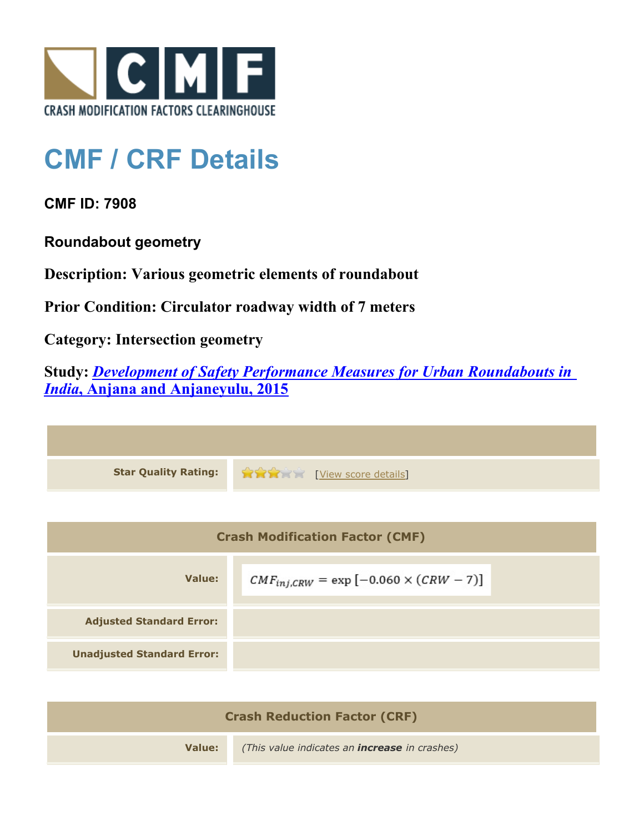

## **CMF / CRF Details**

**CMF ID: 7908**

**Roundabout geometry**

**Description: Various geometric elements of roundabout**

**Prior Condition: Circulator roadway width of 7 meters**

**Category: Intersection geometry**

**Study:** *[Development of Safety Performance Measures for Urban Roundabouts in](http://www.cmfclearinghouse.org/study_detail.cfm?stid=428) [India](http://www.cmfclearinghouse.org/study_detail.cfm?stid=428)***[, Anjana and Anjaneyulu, 2015](http://www.cmfclearinghouse.org/study_detail.cfm?stid=428)**



| <b>Crash Modification Factor (CMF)</b> |                                                 |  |
|----------------------------------------|-------------------------------------------------|--|
| Value:                                 | $CMF_{inj,CRW} = \exp[-0.060 \times (CRW - 7)]$ |  |
| <b>Adjusted Standard Error:</b>        |                                                 |  |
| <b>Unadjusted Standard Error:</b>      |                                                 |  |

| <b>Crash Reduction Factor (CRF)</b> |                                                      |  |
|-------------------------------------|------------------------------------------------------|--|
| Value:                              | (This value indicates an <b>increase</b> in crashes) |  |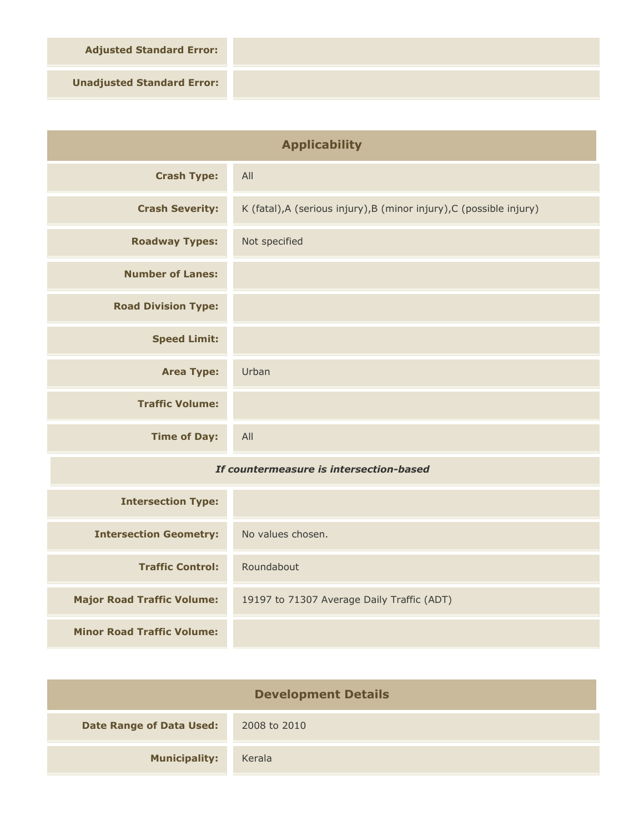**Adjusted Standard Error:**

**Unadjusted Standard Error:**

| <b>Applicability</b>                    |                                                                      |
|-----------------------------------------|----------------------------------------------------------------------|
| <b>Crash Type:</b>                      | All                                                                  |
| <b>Crash Severity:</b>                  | K (fatal), A (serious injury), B (minor injury), C (possible injury) |
| <b>Roadway Types:</b>                   | Not specified                                                        |
| <b>Number of Lanes:</b>                 |                                                                      |
| <b>Road Division Type:</b>              |                                                                      |
| <b>Speed Limit:</b>                     |                                                                      |
| <b>Area Type:</b>                       | Urban                                                                |
| <b>Traffic Volume:</b>                  |                                                                      |
| <b>Time of Day:</b>                     | All                                                                  |
| If countermeasure is intersection-based |                                                                      |
| <b>Intersection Type:</b>               |                                                                      |
| <b>Intersection Geometry:</b>           | No values chosen.                                                    |
| <b>Traffic Control:</b>                 | Roundabout                                                           |
| <b>Major Road Traffic Volume:</b>       | 19197 to 71307 Average Daily Traffic (ADT)                           |
| <b>Minor Road Traffic Volume:</b>       |                                                                      |

| <b>Development Details</b>      |              |  |
|---------------------------------|--------------|--|
| <b>Date Range of Data Used:</b> | 2008 to 2010 |  |
| <b>Municipality:</b>            | Kerala       |  |